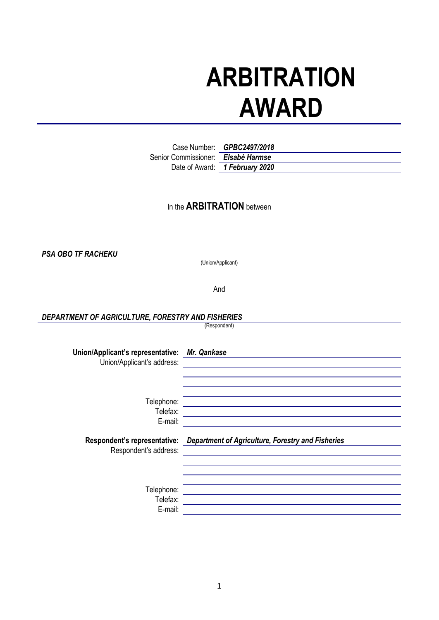# **ARBITRATION AWARD**

Case Number: *GPBC2497/2018* Senior Commissioner: *Elsabé Harmse* Date of Award: *1 February 2020*

## In the **ARBITRATION** between

*PSA OBO TF RACHEKU*

(Union/Applicant)

And

*DEPARTMENT OF AGRICULTURE, FORESTRY AND FISHERIES*

(Respondent)

| Union/Applicant's representative: Mr. Qankase |                                                                                |
|-----------------------------------------------|--------------------------------------------------------------------------------|
| Union/Applicant's address:                    |                                                                                |
|                                               |                                                                                |
|                                               |                                                                                |
|                                               |                                                                                |
| Telephone:                                    |                                                                                |
| Telefax:                                      |                                                                                |
| E-mail:                                       |                                                                                |
|                                               |                                                                                |
|                                               |                                                                                |
|                                               | Respondent's representative: Department of Agriculture, Forestry and Fisheries |
| Respondent's address:                         |                                                                                |
|                                               |                                                                                |
|                                               |                                                                                |
|                                               |                                                                                |
| Telephone:                                    |                                                                                |
| Telefax:                                      |                                                                                |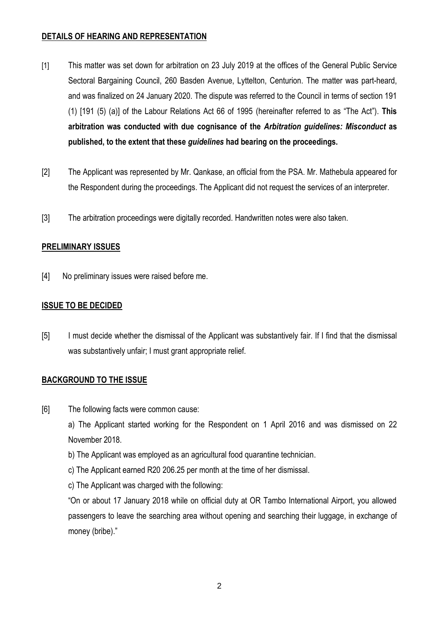#### **DETAILS OF HEARING AND REPRESENTATION**

- [1] This matter was set down for arbitration on 23 July 2019 at the offices of the General Public Service Sectoral Bargaining Council, 260 Basden Avenue, Lyttelton, Centurion. The matter was part-heard, and was finalized on 24 January 2020. The dispute was referred to the Council in terms of section 191 (1) [191 (5) (a)] of the Labour Relations Act 66 of 1995 (hereinafter referred to as "The Act"). **This arbitration was conducted with due cognisance of the** *Arbitration guidelines: Misconduct* **as published, to the extent that these** *guidelines* **had bearing on the proceedings.**
- [2] The Applicant was represented by Mr. Qankase, an official from the PSA. Mr. Mathebula appeared for the Respondent during the proceedings. The Applicant did not request the services of an interpreter.
- [3] The arbitration proceedings were digitally recorded. Handwritten notes were also taken.

### **PRELIMINARY ISSUES**

[4] No preliminary issues were raised before me.

#### **ISSUE TO BE DECIDED**

[5] I must decide whether the dismissal of the Applicant was substantively fair. If I find that the dismissal was substantively unfair; I must grant appropriate relief.

## **BACKGROUND TO THE ISSUE**

[6] The following facts were common cause:

a) The Applicant started working for the Respondent on 1 April 2016 and was dismissed on 22 November 2018.

- b) The Applicant was employed as an agricultural food quarantine technician.
- c) The Applicant earned R20 206.25 per month at the time of her dismissal.
- c) The Applicant was charged with the following:

"On or about 17 January 2018 while on official duty at OR Tambo International Airport, you allowed passengers to leave the searching area without opening and searching their luggage, in exchange of money (bribe)."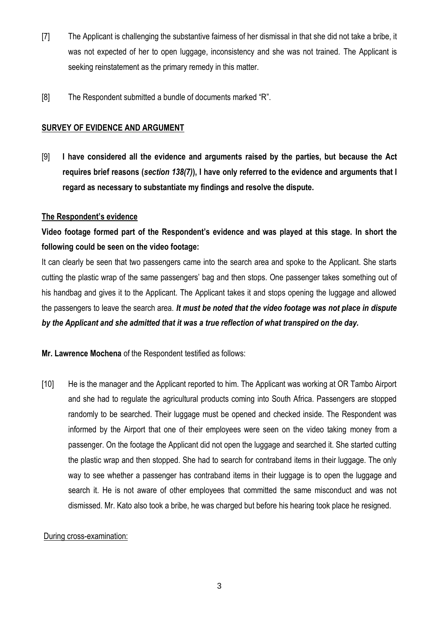- [7] The Applicant is challenging the substantive fairness of her dismissal in that she did not take a bribe, it was not expected of her to open luggage, inconsistency and she was not trained. The Applicant is seeking reinstatement as the primary remedy in this matter.
- [8] The Respondent submitted a bundle of documents marked "R".

### **SURVEY OF EVIDENCE AND ARGUMENT**

[9] **I have considered all the evidence and arguments raised by the parties, but because the Act requires brief reasons (***section 138(7)***), I have only referred to the evidence and arguments that I regard as necessary to substantiate my findings and resolve the dispute.**

#### **The Respondent's evidence**

**Video footage formed part of the Respondent's evidence and was played at this stage. In short the following could be seen on the video footage:**

It can clearly be seen that two passengers came into the search area and spoke to the Applicant. She starts cutting the plastic wrap of the same passengers' bag and then stops. One passenger takes something out of his handbag and gives it to the Applicant. The Applicant takes it and stops opening the luggage and allowed the passengers to leave the search area. *It must be noted that the video footage was not place in dispute by the Applicant and she admitted that it was a true reflection of what transpired on the day.*

**Mr. Lawrence Mochena** of the Respondent testified as follows:

[10] He is the manager and the Applicant reported to him. The Applicant was working at OR Tambo Airport and she had to regulate the agricultural products coming into South Africa. Passengers are stopped randomly to be searched. Their luggage must be opened and checked inside. The Respondent was informed by the Airport that one of their employees were seen on the video taking money from a passenger. On the footage the Applicant did not open the luggage and searched it. She started cutting the plastic wrap and then stopped. She had to search for contraband items in their luggage. The only way to see whether a passenger has contraband items in their luggage is to open the luggage and search it. He is not aware of other employees that committed the same misconduct and was not dismissed. Mr. Kato also took a bribe, he was charged but before his hearing took place he resigned.

#### During cross-examination: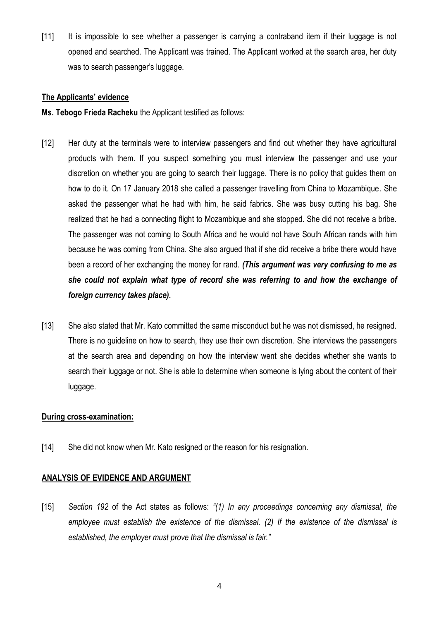[11] It is impossible to see whether a passenger is carrying a contraband item if their luggage is not opened and searched. The Applicant was trained. The Applicant worked at the search area, her duty was to search passenger's luggage.

#### **The Applicants' evidence**

**Ms. Tebogo Frieda Racheku** the Applicant testified as follows:

- [12] Her duty at the terminals were to interview passengers and find out whether they have agricultural products with them. If you suspect something you must interview the passenger and use your discretion on whether you are going to search their luggage. There is no policy that guides them on how to do it. On 17 January 2018 she called a passenger travelling from China to Mozambique. She asked the passenger what he had with him, he said fabrics. She was busy cutting his bag. She realized that he had a connecting flight to Mozambique and she stopped. She did not receive a bribe. The passenger was not coming to South Africa and he would not have South African rands with him because he was coming from China. She also argued that if she did receive a bribe there would have been a record of her exchanging the money for rand. *(This argument was very confusing to me as she could not explain what type of record she was referring to and how the exchange of foreign currency takes place).*
- [13] She also stated that Mr. Kato committed the same misconduct but he was not dismissed, he resigned. There is no guideline on how to search, they use their own discretion. She interviews the passengers at the search area and depending on how the interview went she decides whether she wants to search their luggage or not. She is able to determine when someone is lying about the content of their luggage.

#### **During cross-examination:**

[14] She did not know when Mr. Kato resigned or the reason for his resignation.

#### **ANALYSIS OF EVIDENCE AND ARGUMENT**

[15] *Section 192* of the Act states as follows: *"(1) In any proceedings concerning any dismissal, the employee must establish the existence of the dismissal. (2) If the existence of the dismissal is established, the employer must prove that the dismissal is fair."*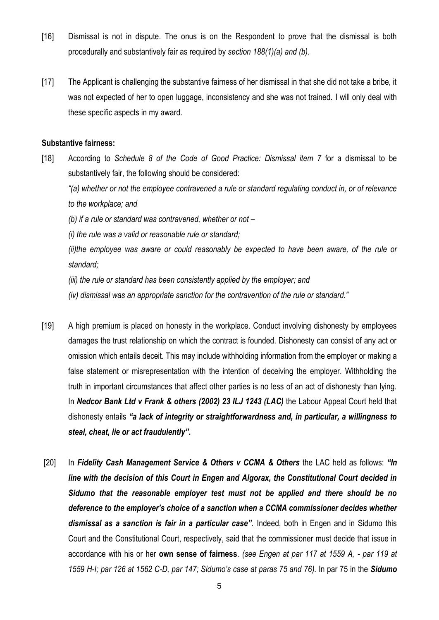- [16] Dismissal is not in dispute. The onus is on the Respondent to prove that the dismissal is both procedurally and substantively fair as required by *section 188(1)(a) and (b)*.
- [17] The Applicant is challenging the substantive fairness of her dismissal in that she did not take a bribe, it was not expected of her to open luggage, inconsistency and she was not trained. I will only deal with these specific aspects in my award.

#### **Substantive fairness:**

- [18] According to *Schedule 8 of the Code of Good Practice: Dismissal item 7* for a dismissal to be substantively fair, the following should be considered:
	- *"(a) whether or not the employee contravened a rule or standard regulating conduct in, or of relevance to the workplace; and*
	- *(b)* if a rule or standard was contravened, whether or not –
	- *(i) the rule was a valid or reasonable rule or standard;*

*(ii)the employee was aware or could reasonably be expected to have been aware, of the rule or standard;*

- *(iii) the rule or standard has been consistently applied by the employer; and*
- *(iv) dismissal was an appropriate sanction for the contravention of the rule or standard."*
- [19] A high premium is placed on honesty in the workplace. Conduct involving dishonesty by employees damages the trust relationship on which the contract is founded. Dishonesty can consist of any act or omission which entails deceit. This may include withholding information from the employer or making a false statement or misrepresentation with the intention of deceiving the employer. Withholding the truth in important circumstances that affect other parties is no less of an act of dishonesty than lying. In *Nedcor Bank Ltd v Frank & others (2002) 23 ILJ 1243 (LAC)* the Labour Appeal Court held that dishonesty entails *"a lack of integrity or straightforwardness and, in particular, a willingness to steal, cheat, lie or act fraudulently"***.**
- [20] In *Fidelity Cash Management Service & Others v CCMA & Others* the LAC held as follows: *"In line with the decision of this Court in Engen and Algorax, the Constitutional Court decided in Sidumo that the reasonable employer test must not be applied and there should be no deference to the employer's choice of a sanction when a CCMA commissioner decides whether dismissal as a sanction is fair in a particular case".* Indeed, both in Engen and in Sidumo this Court and the Constitutional Court, respectively, said that the commissioner must decide that issue in accordance with his or her **own sense of fairness**. *(see Engen at par 117 at 1559 A, - par 119 at 1559 H-I; par 126 at 1562 C-D, par 147; Sidumo's case at paras 75 and 76).* In par 75 in the *Sidumo*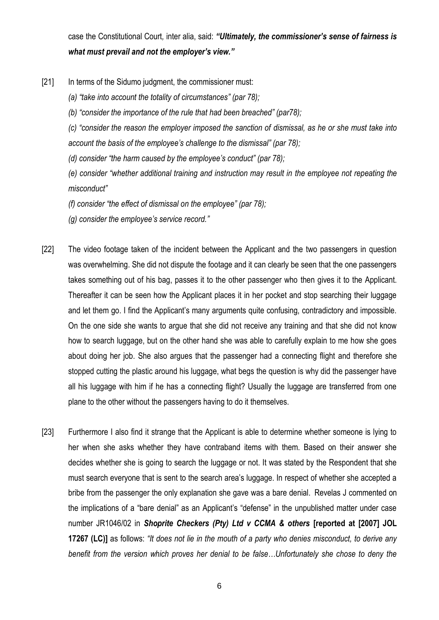case the Constitutional Court*,* inter alia, said: *"Ultimately, the commissioner's sense of fairness is what must prevail and not the employer's view."*

- [21] In terms of the Sidumo judgment, the commissioner must:
	- *(a) "take into account the totality of circumstances" (par 78);*
	- *(b) "consider the importance of the rule that had been breached" (par78);*

*(c) "consider the reason the employer imposed the sanction of dismissal, as he or she must take into account the basis of the employee's challenge to the dismissal" (par 78);*

*(d) consider "the harm caused by the employee's conduct" (par 78);*

*(e) consider "whether additional training and instruction may result in the employee not repeating the misconduct"*

- *(f) consider "the effect of dismissal on the employee" (par 78);*
- *(g) consider the employee's service record."*
- [22] The video footage taken of the incident between the Applicant and the two passengers in question was overwhelming. She did not dispute the footage and it can clearly be seen that the one passengers takes something out of his bag, passes it to the other passenger who then gives it to the Applicant. Thereafter it can be seen how the Applicant places it in her pocket and stop searching their luggage and let them go. I find the Applicant's many arguments quite confusing, contradictory and impossible. On the one side she wants to argue that she did not receive any training and that she did not know how to search luggage, but on the other hand she was able to carefully explain to me how she goes about doing her job. She also argues that the passenger had a connecting flight and therefore she stopped cutting the plastic around his luggage, what begs the question is why did the passenger have all his luggage with him if he has a connecting flight? Usually the luggage are transferred from one plane to the other without the passengers having to do it themselves.
- [23] Furthermore I also find it strange that the Applicant is able to determine whether someone is lying to her when she asks whether they have contraband items with them. Based on their answer she decides whether she is going to search the luggage or not. It was stated by the Respondent that she must search everyone that is sent to the search area's luggage. In respect of whether she accepted a bribe from the passenger the only explanation she gave was a bare denial. Revelas J commented on the implications of a "bare denial" as an Applicant's "defense" in the unpublished matter under case number JR1046/02 in *Shoprite Checkers (Pty) Ltd v CCMA & others* **[reported at [2007] JOL 17267 (LC)]** as follows: *"It does not lie in the mouth of a party who denies misconduct, to derive any benefit from the version which proves her denial to be false…Unfortunately she chose to deny the*